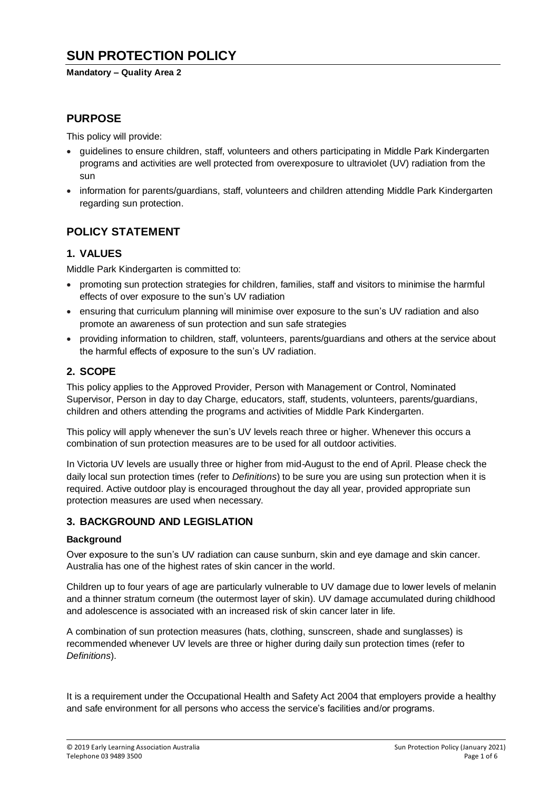# **SUN PROTECTION POLICY**

#### **Mandatory – Quality Area 2**

### **PURPOSE**

This policy will provide:

- guidelines to ensure children, staff, volunteers and others participating in Middle Park Kindergarten programs and activities are well protected from overexposure to ultraviolet (UV) radiation from the sun
- information for parents/guardians, staff, volunteers and children attending Middle Park Kindergarten regarding sun protection.

### **POLICY STATEMENT**

#### **1. VALUES**

Middle Park Kindergarten is committed to:

- promoting sun protection strategies for children, families, staff and visitors to minimise the harmful effects of over exposure to the sun's UV radiation
- ensuring that curriculum planning will minimise over exposure to the sun's UV radiation and also promote an awareness of sun protection and sun safe strategies
- providing information to children, staff, volunteers, parents/guardians and others at the service about the harmful effects of exposure to the sun's UV radiation.

### **2. SCOPE**

This policy applies to the Approved Provider, Person with Management or Control, Nominated Supervisor, Person in day to day Charge, educators, staff, students, volunteers, parents/guardians, children and others attending the programs and activities of Middle Park Kindergarten.

This policy will apply whenever the sun's UV levels reach three or higher. Whenever this occurs a combination of sun protection measures are to be used for all outdoor activities.

In Victoria UV levels are usually three or higher from mid-August to the end of April. Please check the daily local sun protection times (refer to *Definitions*) to be sure you are using sun protection when it is required. Active outdoor play is encouraged throughout the day all year, provided appropriate sun protection measures are used when necessary.

#### **3. BACKGROUND AND LEGISLATION**

#### **Background**

Over exposure to the sun's UV radiation can cause sunburn, skin and eye damage and skin cancer. Australia has one of the highest rates of skin cancer in the world.

Children up to four years of age are particularly vulnerable to UV damage due to lower levels of melanin and a thinner stratum corneum (the outermost layer of skin). UV damage accumulated during childhood and adolescence is associated with an increased risk of skin cancer later in life.

A combination of sun protection measures (hats, clothing, sunscreen, shade and sunglasses) is recommended whenever UV levels are three or higher during daily sun protection times (refer to *Definitions*).

It is a requirement under the Occupational Health and Safety Act 2004 that employers provide a healthy and safe environment for all persons who access the service's facilities and/or programs.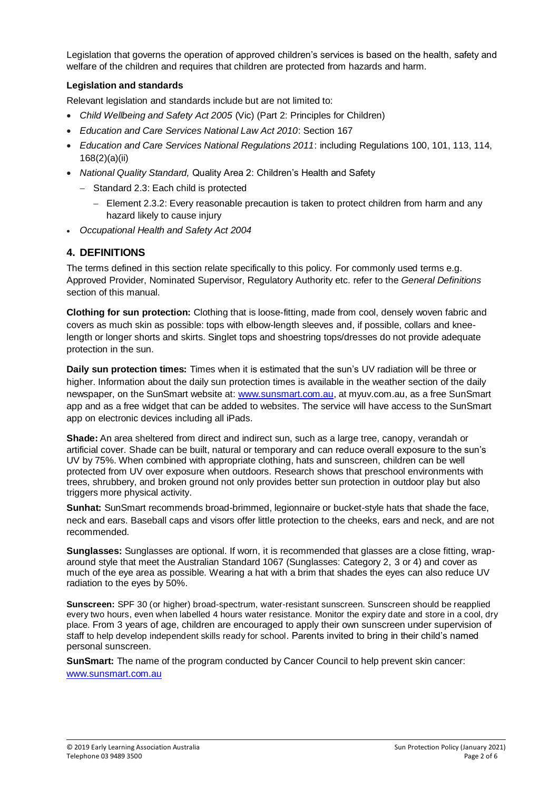Legislation that governs the operation of approved children's services is based on the health, safety and welfare of the children and requires that children are protected from hazards and harm.

#### **Legislation and standards**

Relevant legislation and standards include but are not limited to:

- *Child Wellbeing and Safety Act 2005* (Vic) (Part 2: Principles for Children)
- *Education and Care Services National Law Act 2010*: Section 167
- *Education and Care Services National Regulations 2011*: including Regulations 100, 101, 113, 114, 168(2)(a)(ii)
- *National Quality Standard,* Quality Area 2: Children's Health and Safety
	- Standard 2.3: Each child is protected
		- Element 2.3.2: Every reasonable precaution is taken to protect children from harm and any hazard likely to cause injury
- *Occupational Health and Safety Act 2004*

### **4. DEFINITIONS**

The terms defined in this section relate specifically to this policy. For commonly used terms e.g. Approved Provider, Nominated Supervisor, Regulatory Authority etc. refer to the *General Definitions* section of this manual.

**Clothing for sun protection:** Clothing that is loose-fitting, made from cool, densely woven fabric and covers as much skin as possible: tops with elbow-length sleeves and, if possible, collars and kneelength or longer shorts and skirts. Singlet tops and shoestring tops/dresses do not provide adequate protection in the sun.

**Daily sun protection times:** Times when it is estimated that the sun's UV radiation will be three or higher. Information about the daily sun protection times is available in the weather section of the daily newspaper, on the SunSmart website at: [www.sunsmart.com.au,](http://www.sunsmart.com.au/) at myuv.com.au, as a free SunSmart app and as a free widget that can be added to websites. The service will have access to the SunSmart app on electronic devices including all iPads.

**Shade:** An area sheltered from direct and indirect sun, such as a large tree, canopy, verandah or artificial cover. Shade can be built, natural or temporary and can reduce overall exposure to the sun's UV by 75%. When combined with appropriate clothing, hats and sunscreen, children can be well protected from UV over exposure when outdoors. Research shows that preschool environments with trees, shrubbery, and broken ground not only provides better sun protection in outdoor play but also triggers more physical activity.

**Sunhat:** SunSmart recommends broad-brimmed, legionnaire or bucket-style hats that shade the face, neck and ears. Baseball caps and visors offer little protection to the cheeks, ears and neck, and are not recommended.

**Sunglasses:** Sunglasses are optional. If worn, it is recommended that glasses are a close fitting, wraparound style that meet the Australian Standard 1067 (Sunglasses: Category 2, 3 or 4) and cover as much of the eye area as possible. Wearing a hat with a brim that shades the eyes can also reduce UV radiation to the eyes by 50%.

**Sunscreen:** SPF 30 (or higher) broad-spectrum, water-resistant sunscreen. Sunscreen should be reapplied every two hours, even when labelled 4 hours water resistance. Monitor the expiry date and store in a cool, dry place. From 3 years of age, children are encouraged to apply their own sunscreen under supervision of staff to help develop independent skills ready for school. Parents invited to bring in their child's named personal sunscreen.

**SunSmart:** The name of the program conducted by Cancer Council to help prevent skin cancer: [www.sunsmart.com.au](http://www.sunsmart.com.au/)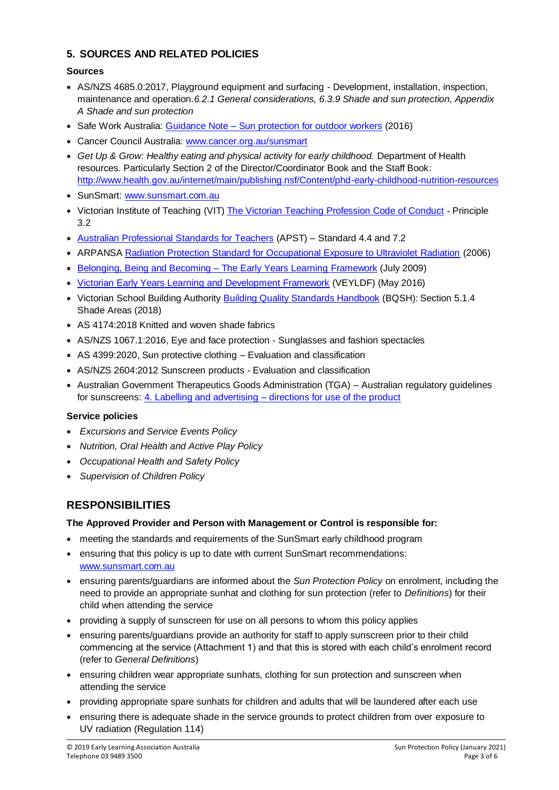# **5. SOURCES AND RELATED POLICIES**

### **Sources**

- AS/NZS 4685.0:2017, Playground equipment and surfacing Development, installation, inspection, maintenance and operation.*6.2.1 General considerations, 6.3.9 Shade and sun protection, Appendix A Shade and sun protection*
- Safe Work Australia: Guidance Note [Sun protection for outdoor workers](https://www.worksafe.vic.gov.au/__data/assets/pdf_file/0012/198687/WorkSafe_WSV17410108.16_FactSheet_final.pdf) (2016)
- Cancer Council Australia: [www.cancer.org.au/sunsmart](http://www.cancer.org.au/sunsmart)
- *Get Up & Grow: Healthy eating and physical activity for early childhood.* Department of Health resources. Particularly Section 2 of the Director/Coordinator Book and the Staff Book: <http://www.health.gov.au/internet/main/publishing.nsf/Content/phd-early-childhood-nutrition-resources>
- SunSmart: [www.sunsmart.com.au](http://www.sunsmart.com.au/)
- Victorian Institute of Teaching (VIT) [The Victorian Teaching Profession Code of Conduct](http://www.vit.vic.edu.au/__data/assets/pdf_file/0018/35604/Code-of-Conduct-2016.pdf) Principle 3.2
- [Australian Professional Standards for Teachers](http://www.vit.vic.edu.au/__data/assets/pdf_file/0005/38678/Opportunities-for-demonstrating-the-APST-through-Inquiry-approach.pdf) (APST) Standard 4.4 and 7.2
- ARPANSA [Radiation Protection Standard for Occupational Exposure to Ultraviolet Radiation](http://www.arpansa.gov.au/pubs/rps/rps12.pdf) (2006)
- Belonging, Being and Becoming [The Early Years Learning Framework](https://www.education.gov.au/early-years-learning-framework) (July 2009)
- [Victorian Early Years Learning and Development Framework](http://www.education.vic.gov.au/childhood/providers/edcare/pages/veyladf.aspx?Redirect=1) (VEYLDF) (May 2016)
- Victorian School Building Authority [Building Quality Standards Handbook](https://www.education.vic.gov.au/Documents/school/principals/infrastructure/BuildingQualStandHdbk%202018.pdf) (BQSH): Section 5.1.4 Shade Areas (2018)
- AS 4174:2018 Knitted and woven shade fabrics
- AS/NZS 1067.1:2016, Eye and face protection Sunglasses and fashion spectacles
- AS 4399:2020, Sun protective clothing Evaluation and classification
- AS/NZS 2604:2012 Sunscreen products Evaluation and classification
- Australian Government Therapeutics Goods Administration (TGA) Australian regulatory guidelines for sunscreens: 4. Labelling and advertising – [directions for use of the product](https://www.tga.gov.au/book/4-labelling-and-advertising)

#### **Service policies**

- *Excursions and Service Events Policy*
- *Nutrition, Oral Health and Active Play Policy*
- *Occupational Health and Safety Policy*
- *Supervision of Children Policy*

# **RESPONSIBILITIES**

#### **The Approved Provider and Person with Management or Control is responsible for:**

- meeting the standards and requirements of the SunSmart early childhood program
- ensuring that this policy is up to date with current SunSmart recommendations: [www.sunsmart.com.au](http://www.sunsmart.com.au/)
- ensuring parents/guardians are informed about the *Sun Protection Policy* on enrolment, including the need to provide an appropriate sunhat and clothing for sun protection (refer to *Definitions*) for their child when attending the service
- providing a supply of sunscreen for use on all persons to whom this policy applies
- ensuring parents/guardians provide an authority for staff to apply sunscreen prior to their child commencing at the service (Attachment 1) and that this is stored with each child's enrolment record (refer to *General Definitions*)
- ensuring children wear appropriate sunhats, clothing for sun protection and sunscreen when attending the service
- providing appropriate spare sunhats for children and adults that will be laundered after each use
- ensuring there is adequate shade in the service grounds to protect children from over exposure to UV radiation (Regulation 114)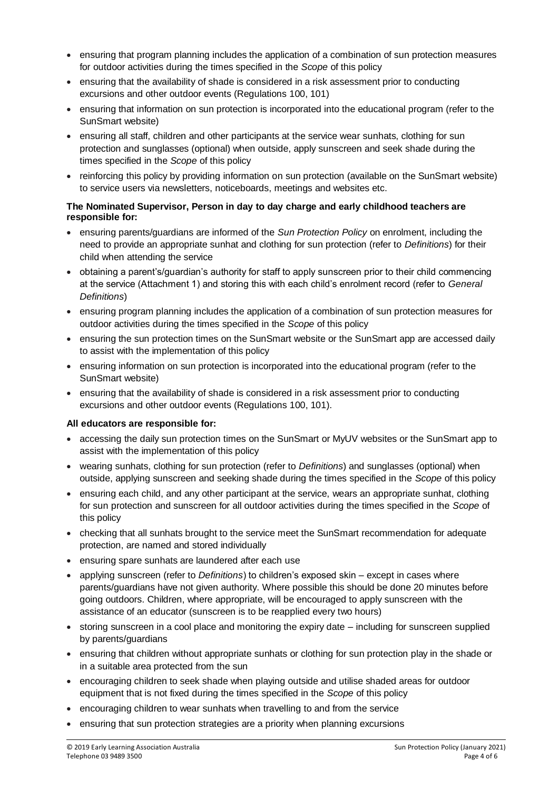- ensuring that program planning includes the application of a combination of sun protection measures for outdoor activities during the times specified in the *Scope* of this policy
- ensuring that the availability of shade is considered in a risk assessment prior to conducting excursions and other outdoor events (Regulations 100, 101)
- ensuring that information on sun protection is incorporated into the educational program (refer to the SunSmart website)
- ensuring all staff, children and other participants at the service wear sunhats, clothing for sun protection and sunglasses (optional) when outside, apply sunscreen and seek shade during the times specified in the *Scope* of this policy
- reinforcing this policy by providing information on sun protection (available on the SunSmart website) to service users via newsletters, noticeboards, meetings and websites etc.

#### **The Nominated Supervisor, Person in day to day charge and early childhood teachers are responsible for:**

- ensuring parents/guardians are informed of the *Sun Protection Policy* on enrolment, including the need to provide an appropriate sunhat and clothing for sun protection (refer to *Definitions*) for their child when attending the service
- obtaining a parent's/guardian's authority for staff to apply sunscreen prior to their child commencing at the service (Attachment 1) and storing this with each child's enrolment record (refer to *General Definitions*)
- ensuring program planning includes the application of a combination of sun protection measures for outdoor activities during the times specified in the *Scope* of this policy
- ensuring the sun protection times on the SunSmart website or the SunSmart app are accessed daily to assist with the implementation of this policy
- ensuring information on sun protection is incorporated into the educational program (refer to the SunSmart website)
- ensuring that the availability of shade is considered in a risk assessment prior to conducting excursions and other outdoor events (Regulations 100, 101).

#### **All educators are responsible for:**

- accessing the daily sun protection times on the SunSmart or MyUV websites or the SunSmart app to assist with the implementation of this policy
- wearing sunhats, clothing for sun protection (refer to *Definitions*) and sunglasses (optional) when outside, applying sunscreen and seeking shade during the times specified in the *Scope* of this policy
- ensuring each child, and any other participant at the service, wears an appropriate sunhat, clothing for sun protection and sunscreen for all outdoor activities during the times specified in the *Scope* of this policy
- checking that all sunhats brought to the service meet the SunSmart recommendation for adequate protection, are named and stored individually
- ensuring spare sunhats are laundered after each use
- applying sunscreen (refer to *Definitions*) to children's exposed skin except in cases where parents/guardians have not given authority. Where possible this should be done 20 minutes before going outdoors. Children, where appropriate, will be encouraged to apply sunscreen with the assistance of an educator (sunscreen is to be reapplied every two hours)
- storing sunscreen in a cool place and monitoring the expiry date including for sunscreen supplied by parents/guardians
- ensuring that children without appropriate sunhats or clothing for sun protection play in the shade or in a suitable area protected from the sun
- encouraging children to seek shade when playing outside and utilise shaded areas for outdoor equipment that is not fixed during the times specified in the *Scope* of this policy
- encouraging children to wear sunhats when travelling to and from the service
- ensuring that sun protection strategies are a priority when planning excursions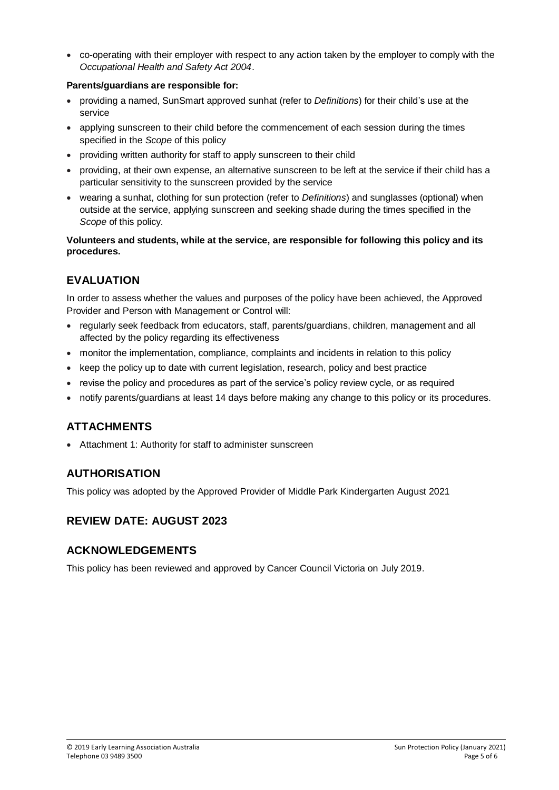co-operating with their employer with respect to any action taken by the employer to comply with the *Occupational Health and Safety Act 2004*.

#### **Parents/guardians are responsible for:**

- providing a named, SunSmart approved sunhat (refer to *Definitions*) for their child's use at the service
- applying sunscreen to their child before the commencement of each session during the times specified in the *Scope* of this policy
- providing written authority for staff to apply sunscreen to their child
- providing, at their own expense, an alternative sunscreen to be left at the service if their child has a particular sensitivity to the sunscreen provided by the service
- wearing a sunhat, clothing for sun protection (refer to *Definitions*) and sunglasses (optional) when outside at the service, applying sunscreen and seeking shade during the times specified in the *Scope* of this policy.

#### **Volunteers and students, while at the service, are responsible for following this policy and its procedures.**

# **EVALUATION**

In order to assess whether the values and purposes of the policy have been achieved, the Approved Provider and Person with Management or Control will:

- regularly seek feedback from educators, staff, parents/guardians, children, management and all affected by the policy regarding its effectiveness
- monitor the implementation, compliance, complaints and incidents in relation to this policy
- keep the policy up to date with current legislation, research, policy and best practice
- revise the policy and procedures as part of the service's policy review cycle, or as required
- notify parents/guardians at least 14 days before making any change to this policy or its procedures.

# **ATTACHMENTS**

Attachment 1: Authority for staff to administer sunscreen

# **AUTHORISATION**

This policy was adopted by the Approved Provider of Middle Park Kindergarten August 2021

### **REVIEW DATE: AUGUST 2023**

### **ACKNOWLEDGEMENTS**

This policy has been reviewed and approved by Cancer Council Victoria on July 2019.